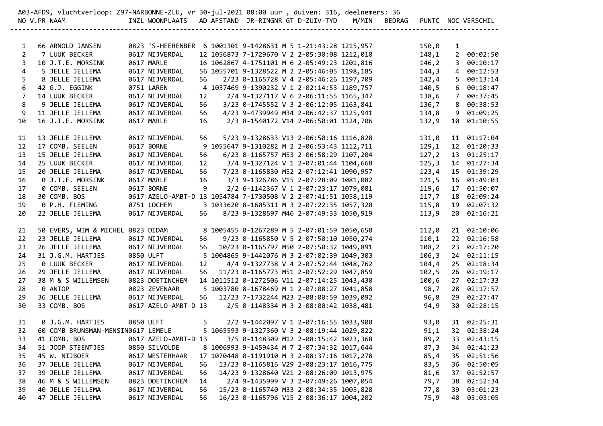|                | 86 .A03-AFD9, vluchtverloop: Z97-NARBONNE-ZLU, vr 30-jul-2021 08:00 uur , duiven: 316, deelnemers: 3                                                                                                                           |                                                                                 |      |    |  |                                                                                                                                                                                                                     |  |       |              |                    |
|----------------|--------------------------------------------------------------------------------------------------------------------------------------------------------------------------------------------------------------------------------|---------------------------------------------------------------------------------|------|----|--|---------------------------------------------------------------------------------------------------------------------------------------------------------------------------------------------------------------------|--|-------|--------------|--------------------|
|                | NO V.PR NAAM                                                                                                                                                                                                                   | INZL WOONPLAATS AD AFSTAND JR-RINGNR GT D-ZUIV-TYD M/MIN BEDRAG                 |      |    |  |                                                                                                                                                                                                                     |  |       |              | PUNTC NOC VERSCHIL |
|                |                                                                                                                                                                                                                                |                                                                                 |      |    |  |                                                                                                                                                                                                                     |  |       |              |                    |
| 1              | 66 ARNOLD JANSEN                                                                                                                                                                                                               | 0823 'S-HEERENBER    6 1001301 9-1428631    M    5 1-21:43:28 1215,957    150,0 |      |    |  |                                                                                                                                                                                                                     |  |       | $\mathbf{1}$ |                    |
| $\overline{2}$ | 7 LUUK BECKER                                                                                                                                                                                                                  | 0617 NIJVERDAL 12 1056873 7-1729670 V 2 2-05:30:08 1212,010 148,1               |      |    |  |                                                                                                                                                                                                                     |  |       |              | 2 00:02:50         |
| 3              | 10 J.T.E. MORSINK                                                                                                                                                                                                              | 0617 MARLE                                                                      |      |    |  | 16 1062867 4-1751101 M 6 2-05:49:23 1201,816 146,2                                                                                                                                                                  |  |       |              | 3 00:10:17         |
| $\overline{4}$ | 5 JELLE JELLEMA                                                                                                                                                                                                                | 0617 NIJVERDAL                                                                  |      |    |  | 56 1055701 9-1328522 M 2 2-05:46:05 1198,185                                                                                                                                                                        |  | 144,3 |              | 4 00:12:53         |
| 5              | 8 JELLE JELLEMA                                                                                                                                                                                                                | 0617 NIJVERDAL                                                                  | 56   |    |  | 2/23 0-1165728 V 4 2-05:46:26 1197,709                                                                                                                                                                              |  | 142,4 |              | 5 00:13:14         |
| 6              | 42 G.J. EGGINK                                                                                                                                                                                                                 | 0751 LAREN                                                                      |      |    |  | 4 1037469 9-1390232 V 1 2-02:14:53 1189,757                                                                                                                                                                         |  | 140,5 |              | 600:18:47          |
| $\overline{7}$ | 14 LUUK BECKER                                                                                                                                                                                                                 | 0617 NIJVERDAL                                                                  | 12   |    |  |                                                                                                                                                                                                                     |  |       |              |                    |
| 8              |                                                                                                                                                                                                                                |                                                                                 |      | 56 |  |                                                                                                                                                                                                                     |  |       |              |                    |
| 9              |                                                                                                                                                                                                                                |                                                                                 |      | 56 |  |                                                                                                                                                                                                                     |  |       |              |                    |
| 10             | 16 J.T.E. MORSINK                                                                                                                                                                                                              | 0617 MARLE                                                                      | 16   |    |  | 37469 9-1390232 v 1 2-02.1-1.22 1125, 347<br>2/4 9-1327117 V 6 2-06:11:55 1165, 347<br>3/23 0-1745552 V 3 2-06:12:05 1163, 841<br>4/23 9-4739949 M34 2-06:42:37 1125, 941<br>134, 8 9 01:09:25<br>134, 8 9 01:09:25 |  |       |              |                    |
| 11             | 13 JELLE JELLEMA                                                                                                                                                                                                               | 0617 NIJVERDAL                                                                  |      |    |  |                                                                                                                                                                                                                     |  | 131,0 |              | 11 01:17:04        |
| 12             | 17 COMB. SEELEN                                                                                                                                                                                                                | 0617 BORNE                                                                      |      |    |  | RDAL     56    5/23 9-1328633 V13 2-06:50:16 1116,828<br>9 1055647 9-1310282 M 2 2-06:53:43 1112,711                                                                                                                |  | 129,1 |              | 12 01:20:33        |
| 13             | 15 JELLE JELLEMA                                                                                                                                                                                                               | 0617 NIJVERDAL                                                                  |      |    |  | 6/23 0-1165757 M53 2-06:58:29 1107,204<br>56       6/23  0-1165757  M53  2-06:58:29  1107,204<br>12         3/4  9-1327124  V  1  2-07:01:44  1104,668                                                              |  | 127,2 |              | 13 01:25:17        |
| 14             | 25 LUUK BECKER                                                                                                                                                                                                                 | 0617 NIJVERDAL                                                                  |      |    |  |                                                                                                                                                                                                                     |  | 125,3 |              | 14 01:27:34        |
| 15             | 20 JELLE JELLEMA                                                                                                                                                                                                               | 0617 NIJVERDAL                                                                  |      |    |  | 56 7/23 0-1165830 M52 2-07:12:41 1090,957                                                                                                                                                                           |  | 123,4 |              | 15 01:39:29        |
| 16             | 0 J.T.E. MORSINK                                                                                                                                                                                                               | 0617 MARLE 16 3/3 9-1326786 V15 2-07:28:09 1081,082                             |      |    |  |                                                                                                                                                                                                                     |  |       |              | 121,5 16 01:49:03  |
| 17             | 0 COMB. SEELEN                                                                                                                                                                                                                 | 0617 BORNE 9                                                                    |      |    |  | 2/2 6-1142367 V 1 2-07:23:17 1079,081                                                                                                                                                                               |  |       |              | 119,6 17 01:50:07  |
| 18             |                                                                                                                                                                                                                                |                                                                                 |      |    |  |                                                                                                                                                                                                                     |  |       |              |                    |
| 19             |                                                                                                                                                                                                                                |                                                                                 |      |    |  |                                                                                                                                                                                                                     |  |       |              |                    |
| 20             | 22 JELLE JELLEMA                                                                                                                                                                                                               | 0617 NIJVERDAL 56 8/23 9-1328597 M46 2-07:49:33 1050,919                        |      |    |  |                                                                                                                                                                                                                     |  | 113,9 |              | 20 02:16:21        |
| 21             | 50 EVERS, WIM & MICHEL 0823 DIDAM 8 1005455 0-1267289 M 5 2-07:01:59 1050,650                                                                                                                                                  |                                                                                 |      |    |  |                                                                                                                                                                                                                     |  | 112,0 |              | 21 02:10:06        |
| 22             | 23 JELLE JELLEMA                                                                                                                                                                                                               | 0617 NIJVERDAL                                                                  |      |    |  | 56 9/23 0-1165850 V 5 2-07:50:10 1050,274                                                                                                                                                                           |  | 110,1 |              | 22 02:16:58        |
| 23             | 26 JELLE JELLEMA                                                                                                                                                                                                               | 0617 NIJVERDAL                                                                  |      |    |  | 56 10/23 0-1165797 M50 2-07:50:32 1049,891                                                                                                                                                                          |  | 108,2 |              | 23 02:17:20        |
| 24             | 31 J.G.M. HARTJES                                                                                                                                                                                                              | 0850 ULFT                                                                       |      |    |  | 5 1004865 9-1442076 M 3 2-07:02:39 1049,303                                                                                                                                                                         |  | 106,3 |              | 24 02:11:15        |
| 25             | 0 LUUK BECKER                                                                                                                                                                                                                  | 0617 NIJVERDAL                                                                  | 12   |    |  | 4/4 9-1327738 V 4 2-07:52:44 1048,762                                                                                                                                                                               |  | 104,4 |              | 25 02:18:34        |
| 26             | 29 JELLE JELLEMA                                                                                                                                                                                                               | 0617 NIJVERDAL                                                                  |      |    |  | 56 11/23 0-1165773 M51 2-07:52:29 1047,859                                                                                                                                                                          |  | 102,5 |              | 26 02:19:17        |
| 27             | 38 M & S WILLEMSEN                                                                                                                                                                                                             | 0823 DOETINCHEM 14 1011512 0-1272506 V11 2-07:14:25 1043,430                    |      |    |  |                                                                                                                                                                                                                     |  | 100,6 |              | 27 02:17:33        |
| 28             | 0 ANTOP                                                                                                                                                                                                                        |                                                                                 |      |    |  |                                                                                                                                                                                                                     |  | 98,7  |              | 28 02:17:57        |
| 29             |                                                                                                                                                                                                                                |                                                                                 |      |    |  |                                                                                                                                                                                                                     |  | 96,8  |              | 29 02:27:47        |
| 30             | 33 COMB. BOS                                                                                                                                                                                                                   |                                                                                 |      |    |  |                                                                                                                                                                                                                     |  | 94,9  |              | 30 02:28:15        |
|                |                                                                                                                                                                                                                                |                                                                                 |      |    |  |                                                                                                                                                                                                                     |  |       |              |                    |
|                | 31   0 J.G.M. HARTJES    0850 ULFT      5    2/2 9-1442097 V 1 2-07:16:55 1033,900        93,0  31 02:25:31<br>32  60 COMB BRUNSMAN-MENSIN0617 LEMELE     5 1065593 9-1327360 V 3 2-08:19:44 1029,822        91,1  32 02:38:24 |                                                                                 |      |    |  |                                                                                                                                                                                                                     |  |       |              |                    |
| 33             | 41 COMB. BOS                                                                                                                                                                                                                   | 0617 AZELO-AMBT-D 13                                                            |      |    |  | 3/5 0-1148309 M12 2-08:15:42 1023,368                                                                                                                                                                               |  | 89,2  |              | 33 02:43:15        |
| 34             | 51 JOOP STEENTJES                                                                                                                                                                                                              | 0850 SILVOLDE                                                                   |      |    |  | 8 1006993 9-1459434 M 7 2-07:34:32 1017,644                                                                                                                                                                         |  | 87,3  |              | 34 02:41:23        |
| 35             | 45 W. NIJBOER                                                                                                                                                                                                                  | 0617 WESTERHAAR                                                                 |      |    |  | 17 1070448 0-1191910 M 3 2-08:37:16 1017,278                                                                                                                                                                        |  | 85,4  | 35           | 02:51:56           |
| 36             | 37 JELLE JELLEMA                                                                                                                                                                                                               | 0617 NIJVERDAL                                                                  | 56   |    |  | 13/23 0-1165816 V29 2-08:23:17 1016,775                                                                                                                                                                             |  | 83,5  |              | 36 02:50:05        |
| 37             | 39 JELLE JELLEMA                                                                                                                                                                                                               | 0617 NIJVERDAL                                                                  | 56   |    |  | 14/23 9-1328640 V21 2-08:26:09 1013,975                                                                                                                                                                             |  | 81,6  | 37           | 02:52:57           |
| 38             | 46 M & S WILLEMSEN                                                                                                                                                                                                             | 0823 DOETINCHEM                                                                 | 14   |    |  | 2/4 9-1435999 V 3 2-07:49:26 1007,054                                                                                                                                                                               |  | 79,7  | 38           | 02:52:34           |
| 39             | 40 JELLE JELLEMA                                                                                                                                                                                                               | 0617 NIJVERDAL                                                                  |      |    |  | 56 15/23 0-1165740 M33 2-08:34:35 1005,828                                                                                                                                                                          |  | 77,8  | 39           | 03:01:23           |
| 40             | 47 JELLE JELLEMA                                                                                                                                                                                                               | 0617 NIJVERDAL                                                                  | 56 — |    |  | 16/23 0-1165796 V15 2-08:36:17 1004,202                                                                                                                                                                             |  | 75,9  |              | 40 03:03:05        |
|                |                                                                                                                                                                                                                                |                                                                                 |      |    |  |                                                                                                                                                                                                                     |  |       |              |                    |